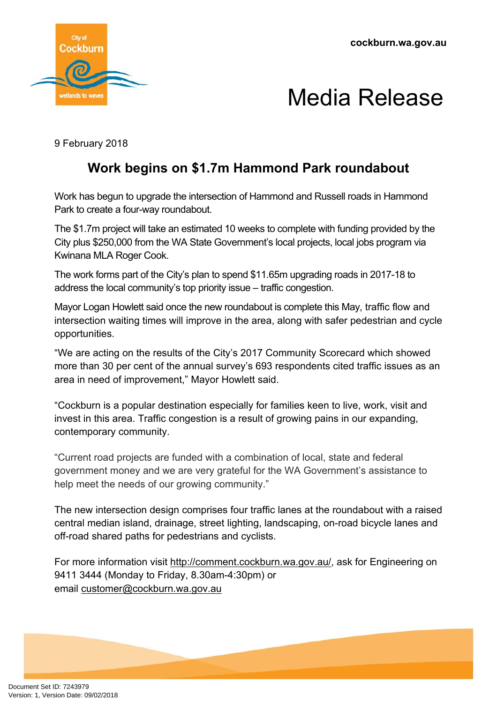

## Media Release

9 February 2018

## **Work begins on \$1.7m Hammond Park roundabout**

Work has begun to upgrade the intersection of Hammond and Russell roads in Hammond Park to create a four-way roundabout.

The \$1.7m project will take an estimated 10 weeks to complete with funding provided by the City plus \$250,000 from the WA State Government's local projects, local jobs program via Kwinana MLA Roger Cook.

The work forms part of the City's plan to spend \$11.65m upgrading roads in 2017-18 to address the local community's top priority issue – traffic congestion.

Mayor Logan Howlett said once the new roundabout is complete this May, traffic flow and intersection waiting times will improve in the area, along with safer pedestrian and cycle opportunities.

"We are acting on the results of the City's 2017 Community Scorecard which showed more than 30 per cent of the annual survey's 693 respondents cited traffic issues as an area in need of improvement," Mayor Howlett said.

"Cockburn is a popular destination especially for families keen to live, work, visit and invest in this area. Traffic congestion is a result of growing pains in our expanding, contemporary community.

"Current road projects are funded with a combination of local, state and federal government money and we are very grateful for the WA Government's assistance to help meet the needs of our growing community."

The new intersection design comprises four traffic lanes at the roundabout with a raised central median island, drainage, street lighting, landscaping, on-road bicycle lanes and off-road shared paths for pedestrians and cyclists.

For more information visit [http://comment.cockburn.wa.gov.au/,](http://comment.cockburn.wa.gov.au/) ask for Engineering on 9411 3444 (Monday to Friday, 8.30am-4:30pm) or email [customer@cockburn.wa.gov.au](mailto:customer@cockburn.wa.gov.au)